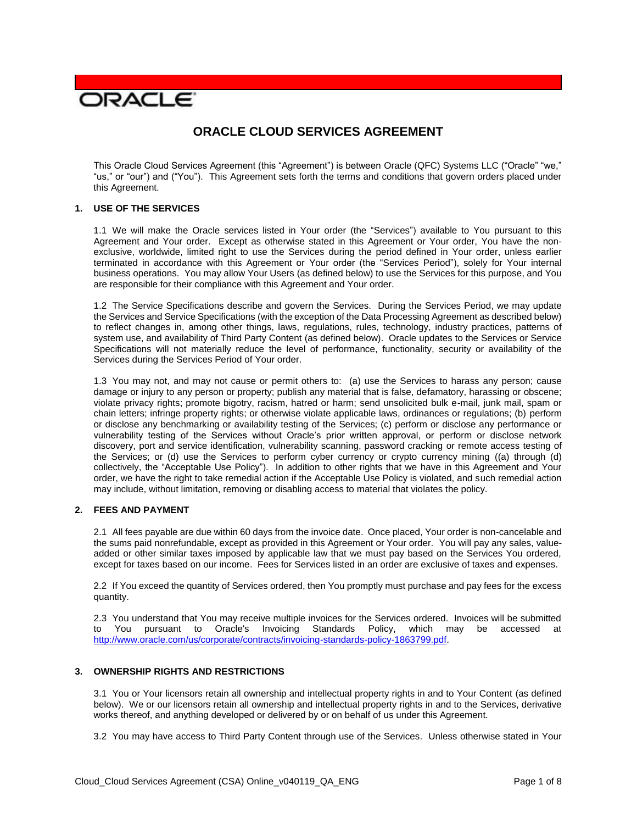# **DRACLE**

# **ORACLE CLOUD SERVICES AGREEMENT**

 This Oracle Cloud Services Agreement (this "Agreement") is between Oracle (QFC) Systems LLC ("Oracle" "we," "us," or "our") and ("You"). This Agreement sets forth the terms and conditions that govern orders placed under this Agreement.

# **1. USE OF THE SERVICES**

 1.1 We will make the Oracle services listed in Your order (the "Services") available to You pursuant to this Agreement and Your order. Except as otherwise stated in this Agreement or Your order, You have the non- exclusive, worldwide, limited right to use the Services during the period defined in Your order, unless earlier terminated in accordance with this Agreement or Your order (the "Services Period"), solely for Your internal business operations. You may allow Your Users (as defined below) to use the Services for this purpose, and You are responsible for their compliance with this Agreement and Your order.

 1.2 The Service Specifications describe and govern the Services. During the Services Period, we may update the Services and Service Specifications (with the exception of the Data Processing Agreement as described below) to reflect changes in, among other things, laws, regulations, rules, technology, industry practices, patterns of system use, and availability of Third Party Content (as defined below). Oracle updates to the Services or Service Specifications will not materially reduce the level of performance, functionality, security or availability of the Services during the Services Period of Your order.

 1.3 You may not, and may not cause or permit others to: (a) use the Services to harass any person; cause damage or injury to any person or property; publish any material that is false, defamatory, harassing or obscene; violate privacy rights; promote bigotry, racism, hatred or harm; send unsolicited bulk e-mail, junk mail, spam or chain letters; infringe property rights; or otherwise violate applicable laws, ordinances or regulations; (b) perform or disclose any benchmarking or availability testing of the Services; (c) perform or disclose any performance or vulnerability testing of the Services without Oracle's prior written approval, or perform or disclose network discovery, port and service identification, vulnerability scanning, password cracking or remote access testing of the Services; or (d) use the Services to perform cyber currency or crypto currency mining ((a) through (d) collectively, the "Acceptable Use Policy"). In addition to other rights that we have in this Agreement and Your may include, without limitation, removing or disabling access to material that violates the policy. order, we have the right to take remedial action if the Acceptable Use Policy is violated, and such remedial action

# **2. FEES AND PAYMENT**

 2.1 All fees payable are due within 60 days from the invoice date. Once placed, Your order is non-cancelable and added or other similar taxes imposed by applicable law that we must pay based on the Services You ordered, except for taxes based on our income. Fees for Services listed in an order are exclusive of taxes and expenses. the sums paid nonrefundable, except as provided in this Agreement or Your order. You will pay any sales, value-

 2.2 If You exceed the quantity of Services ordered, then You promptly must purchase and pay fees for the excess quantity.

quantity.<br>2.3 You understand that You may receive multiple invoices for the Services ordered. Invoices will be submitted to You pursuant to Oracle's Invoicing Standards Policy, which may be accessed at [http://www.oracle.com/us/corporate/contracts/invoicing-standards-policy-1863799.pdf.](http://www.oracle.com/us/corporate/contracts/invoicing-standards-policy-1863799.pdf)

# **3. OWNERSHIP RIGHTS AND RESTRICTIONS**

 3.1 You or Your licensors retain all ownership and intellectual property rights in and to Your Content (as defined below). We or our licensors retain all ownership and intellectual property rights in and to the Services, derivative works thereof, and anything developed or delivered by or on behalf of us under this Agreement.

3.2 You may have access to Third Party Content through use of the Services. Unless otherwise stated in Your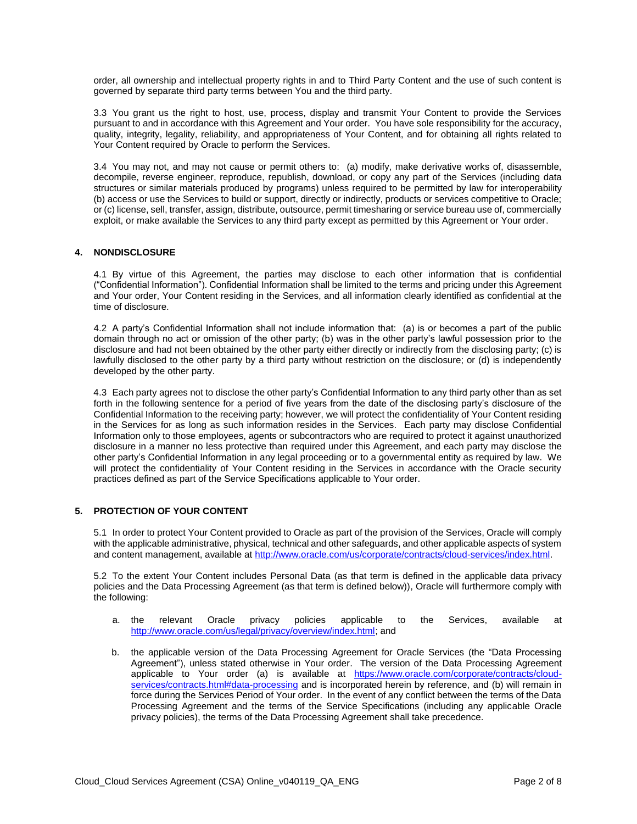order, all ownership and intellectual property rights in and to Third Party Content and the use of such content is governed by separate third party terms between You and the third party.

 3.3 You grant us the right to host, use, process, display and transmit Your Content to provide the Services pursuant to and in accordance with this Agreement and Your order. You have sole responsibility for the accuracy, quality, integrity, legality, reliability, and appropriateness of Your Content, and for obtaining all rights related to Your Content required by Oracle to perform the Services.

 3.4 You may not, and may not cause or permit others to: (a) modify, make derivative works of, disassemble, decompile, reverse engineer, reproduce, republish, download, or copy any part of the Services (including data structures or similar materials produced by programs) unless required to be permitted by law for interoperability (b) access or use the Services to build or support, directly or indirectly, products or services competitive to Oracle; or (c) license, sell, transfer, assign, distribute, outsource, permit timesharing or service bureau use of, commercially exploit, or make available the Services to any third party except as permitted by this Agreement or Your order.

#### **4. NONDISCLOSURE**

 4.1 By virtue of this Agreement, the parties may disclose to each other information that is confidential ("Confidential Information"). Confidential Information shall be limited to the terms and pricing under this Agreement and Your order, Your Content residing in the Services, and all information clearly identified as confidential at the time of disclosure.

time of disclosure.<br>4.2 A party's Confidential Information shall not include information that: (a) is or becomes a part of the public domain through no act or omission of the other party; (b) was in the other party's lawful possession prior to the disclosure and had not been obtained by the other party either directly or indirectly from the disclosing party; (c) is lawfully disclosed to the other party by a third party without restriction on the disclosure; or (d) is independently developed by the other party.

developed by the other party.<br>4.3 Each party agrees not to disclose the other party's Confidential Information to any third party other than as set forth in the following sentence for a period of five years from the date of the disclosing party's disclosure of the Confidential Information to the receiving party; however, we will protect the confidentiality of Your Content residing in the Services for as long as such information resides in the Services. Each party may disclose Confidential Information only to those employees, agents or subcontractors who are required to protect it against unauthorized disclosure in a manner no less protective than required under this Agreement, and each party may disclose the other party's Confidential Information in any legal proceeding or to a governmental entity as required by law. We will protect the confidentiality of Your Content residing in the Services in accordance with the Oracle security practices defined as part of the Service Specifications applicable to Your order.

# **5. PROTECTION OF YOUR CONTENT**

 5.1 In order to protect Your Content provided to Oracle as part of the provision of the Services, Oracle will comply with the applicable administrative, physical, technical and other safeguards, and other applicable aspects of system and content management, available at http://www.oracle.com/us/corporate/contracts/cloud-services/index.html.

and content management, available at <u>http://www.oracle.com/us/corporate/contracts/cloud-services/index.html</u>.<br>5.2 To the extent Your Content includes Personal Data (as that term is defined in the applicable data privacy policies and the Data Processing Agreement (as that term is defined below)), Oracle will furthermore comply with the following:

- a. the a. the relevant Oracle privacy policies applicable to the Services, available at [http://www.oracle.com/us/legal/privacy/overview/index.html;](http://www.oracle.com/us/legal/privacy/overview/index.html) and
- b. the applicable version of the Data Processing Agreement for Oracle Services (the "Data Processing Agreement"), unless stated otherwise in Your order. The version of the Data Processing Agreement applicable to Your order (a) is available at [https://www.oracle.com/corporate/contracts/cloud](https://www.oracle.com/corporate/contracts/cloud-services/contracts.html#data-processing)[services/contracts.html#data-processing](https://www.oracle.com/corporate/contracts/cloud-services/contracts.html#data-processing) and is incorporated herein by reference, and (b) will remain in force during the Services Period of Your order. In the event of any conflict between the terms of the Data Processing Agreement and the terms of the Service Specifications (including any applicable Oracle privacy policies), the terms of the Data Processing Agreement shall take precedence.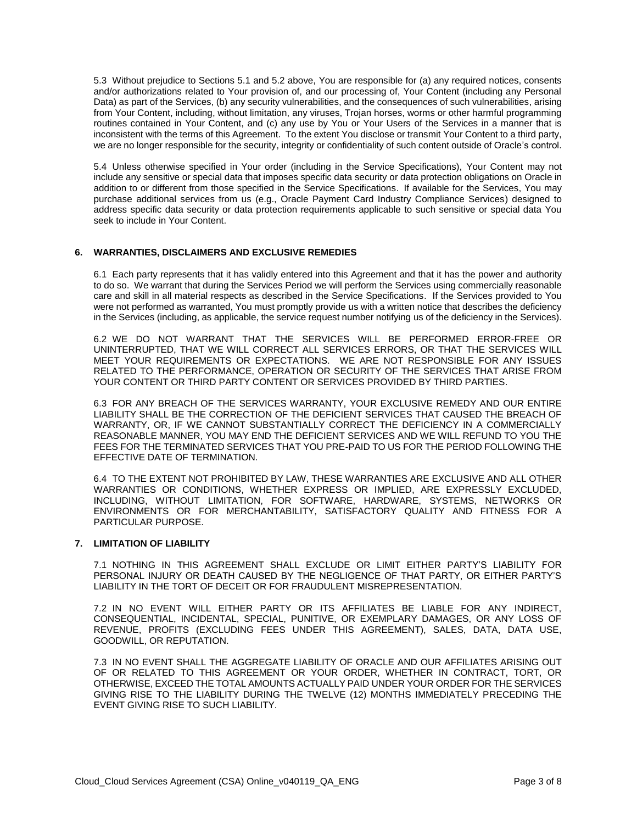5.3 Without prejudice to Sections 5.1 and 5.2 above, You are responsible for (a) any required notices, consents and/or authorizations related to Your provision of, and our processing of, Your Content (including any Personal Data) as part of the Services, (b) any security vulnerabilities, and the consequences of such vulnerabilities, arising routines contained in Your Content, and (c) any use by You or Your Users of the Services in a manner that is inconsistent with the terms of this Agreement. To the extent You disclose or transmit Your Content to a third party, we are no longer responsible for the security, integrity or confidentiality of such content outside of Oracle's control. from Your Content, including, without limitation, any viruses, Trojan horses, worms or other harmful programming

 5.4 Unless otherwise specified in Your order (including in the Service Specifications), Your Content may not include any sensitive or special data that imposes specific data security or data protection obligations on Oracle in addition to or different from those specified in the Service Specifications. If available for the Services, You may purchase additional services from us (e.g., Oracle Payment Card Industry Compliance Services) designed to address specific data security or data protection requirements applicable to such sensitive or special data You seek to include in Your Content.

# **6. WARRANTIES, DISCLAIMERS AND EXCLUSIVE REMEDIES**

 6.1 Each party represents that it has validly entered into this Agreement and that it has the power and authority to do so. We warrant that during the Services Period we will perform the Services using commercially reasonable care and skill in all material respects as described in the Service Specifications. If the Services provided to You were not performed as warranted, You must promptly provide us with a written notice that describes the deficiency in the Services (including, as applicable, the service request number notifying us of the deficiency in the Services).

 6.2 WE DO NOT WARRANT THAT THE SERVICES WILL BE PERFORMED ERROR-FREE OR UNINTERRUPTED, THAT WE WILL CORRECT ALL SERVICES ERRORS, OR THAT THE SERVICES WILL MEET YOUR REQUIREMENTS OR EXPECTATIONS. WE ARE NOT RESPONSIBLE FOR ANY ISSUES RELATED TO THE PERFORMANCE, OPERATION OR SECURITY OF THE SERVICES THAT ARISE FROM YOUR CONTENT OR THIRD PARTY CONTENT OR SERVICES PROVIDED BY THIRD PARTIES.

 6.3 FOR ANY BREACH OF THE SERVICES WARRANTY, YOUR EXCLUSIVE REMEDY AND OUR ENTIRE LIABILITY SHALL BE THE CORRECTION OF THE DEFICIENT SERVICES THAT CAUSED THE BREACH OF WARRANTY, OR, IF WE CANNOT SUBSTANTIALLY CORRECT THE DEFICIENCY IN A COMMERCIALLY REASONABLE MANNER, YOU MAY END THE DEFICIENT SERVICES AND WE WILL REFUND TO YOU THE FEES FOR THE TERMINATED SERVICES THAT YOU PRE-PAID TO US FOR THE PERIOD FOLLOWING THE EFFECTIVE DATE OF TERMINATION.

 6.4 TO THE EXTENT NOT PROHIBITED BY LAW, THESE WARRANTIES ARE EXCLUSIVE AND ALL OTHER ENVIRONMENTS OR FOR MERCHANTABILITY, SATISFACTORY QUALITY AND FITNESS FOR A  PARTICULAR PURPOSE. WARRANTIES OR CONDITIONS, WHETHER EXPRESS OR IMPLIED, ARE EXPRESSLY EXCLUDED, INCLUDING, WITHOUT LIMITATION, FOR SOFTWARE, HARDWARE, SYSTEMS, NETWORKS OR

# **7. LIMITATION OF LIABILITY**

 7.1 NOTHING IN THIS AGREEMENT SHALL EXCLUDE OR LIMIT EITHER PARTY'S LIABILITY FOR PERSONAL INJURY OR DEATH CAUSED BY THE NEGLIGENCE OF THAT PARTY, OR EITHER PARTY'S LIABILITY IN THE TORT OF DECEIT OR FOR FRAUDULENT MISREPRESENTATION.

 7.2 IN NO EVENT WILL EITHER PARTY OR ITS AFFILIATES BE LIABLE FOR ANY INDIRECT, CONSEQUENTIAL, INCIDENTAL, SPECIAL, PUNITIVE, OR EXEMPLARY DAMAGES, OR ANY LOSS OF REVENUE, PROFITS (EXCLUDING FEES UNDER THIS AGREEMENT), SALES, DATA, DATA USE, GOODWILL, OR REPUTATION.

 7.3 IN NO EVENT SHALL THE AGGREGATE LIABILITY OF ORACLE AND OUR AFFILIATES ARISING OUT OTHERWISE, EXCEED THE TOTAL AMOUNTS ACTUALLY PAID UNDER YOUR ORDER FOR THE SERVICES GIVING RISE TO THE LIABILITY DURING THE TWELVE (12) MONTHS IMMEDIATELY PRECEDING THE EVENT GIVING RISE TO SUCH LIABILITY. OF OR RELATED TO THIS AGREEMENT OR YOUR ORDER, WHETHER IN CONTRACT, TORT, OR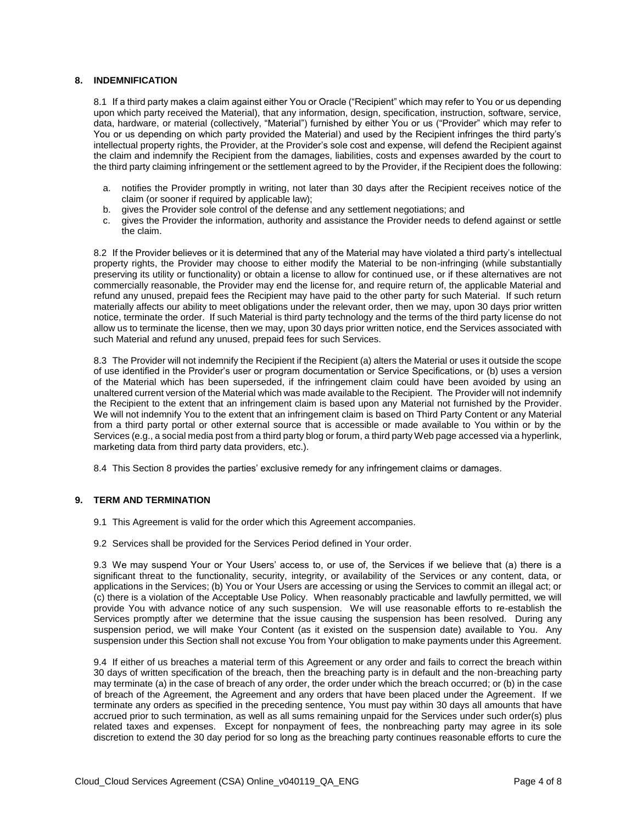# **8. INDEMNIFICATION**

 8.1 If a third party makes a claim against either You or Oracle ("Recipient" which may refer to You or us depending upon which party received the Material), that any information, design, specification, instruction, software, service, data, hardware, or material (collectively, "Material") furnished by either You or us ("Provider" which may refer to You or us depending on which party provided the Material) and used by the Recipient infringes the third party's intellectual property rights, the Provider, at the Provider's sole cost and expense, will defend the Recipient against the claim and indemnify the Recipient from the damages, liabilities, costs and expenses awarded by the court to the third party claiming infringement or the settlement agreed to by the Provider, if the Recipient does the following:

- a. notifies the Provider promptly in writing, not later than 30 days after the Recipient receives notice of the claim (or sooner if required by applicable law);
- b. gives the Provider sole control of the defense and any settlement negotiations; and
- b. gives the Provider sole control of the defense and any settlement negotiations; and<br>c. gives the Provider the information, authority and assistance the Provider needs to defend against or settle the claim.

 8.2 If the Provider believes or it is determined that any of the Material may have violated a third party's intellectual property rights, the Provider may choose to either modify the Material to be non-infringing (while substantially preserving its utility or functionality) or obtain a license to allow for continued use, or if these alternatives are not commercially reasonable, the Provider may end the license for, and require return of, the applicable Material and refund any unused, prepaid fees the Recipient may have paid to the other party for such Material. If such return materially affects our ability to meet obligations under the relevant order, then we may, upon 30 days prior written notice, terminate the order. If such Material is third party technology and the terms of the third party license do not allow us to terminate the license, then we may, upon 30 days prior written notice, end the Services associated with such Material and refund any unused, prepaid fees for such Services.

such Material and refund any unused, prepaid fees for such Services.<br>8.3 The Provider will not indemnify the Recipient if the Recipient (a) alters the Material or uses it outside the scope of use identified in the Provider's user or program documentation or Service Specifications, or (b) uses a version of the Material which has been superseded, if the infringement claim could have been avoided by using an unaltered current version of the Material which was made available to the Recipient. The Provider will not indemnify the Recipient to the extent that an infringement claim is based upon any Material not furnished by the Provider. We will not indemnify You to the extent that an infringement claim is based on Third Party Content or any Material from a third party portal or other external source that is accessible or made available to You within or by the Services (e.g., a social media post from a third party blog or forum, a third party Web page accessed via a hyperlink, marketing data from third party data providers, etc.).

8.4 This Section 8 provides the parties' exclusive remedy for any infringement claims or damages.

# **9. TERM AND TERMINATION**

- 9.1 This Agreement is valid for the order which this Agreement accompanies.
- 9.1 This Agreement is valid for the order which this Agreement accompanies.<br>9.2 Services shall be provided for the Services Period defined in Your order.

 9.3 We may suspend Your or Your Users' access to, or use of, the Services if we believe that (a) there is a significant threat to the functionality, security, integrity, or availability of the Services or any content, data, or applications in the Services; (b) You or Your Users are accessing or using the Services to commit an illegal act; or (c) there is a violation of the Acceptable Use Policy. When reasonably practicable and lawfully permitted, we will provide You with advance notice of any such suspension. We will use reasonable efforts to re-establish the Services promptly after we determine that the issue causing the suspension has been resolved. During any suspension period, we will make Your Content (as it existed on the suspension date) available to You. Any suspension under this Section shall not excuse You from Your obligation to make payments under this Agreement.

 9.4 If either of us breaches a material term of this Agreement or any order and fails to correct the breach within 30 days of written specification of the breach, then the breaching party is in default and the non-breaching party may terminate (a) in the case of breach of any order, the order under which the breach occurred; or (b) in the case of breach of the Agreement, the Agreement and any orders that have been placed under the Agreement. If we terminate any orders as specified in the preceding sentence, You must pay within 30 days all amounts that have accrued prior to such termination, as well as all sums remaining unpaid for the Services under such order(s) plus related taxes and expenses. Except for nonpayment of fees, the nonbreaching party may agree in its sole discretion to extend the 30 day period for so long as the breaching party continues reasonable efforts to cure the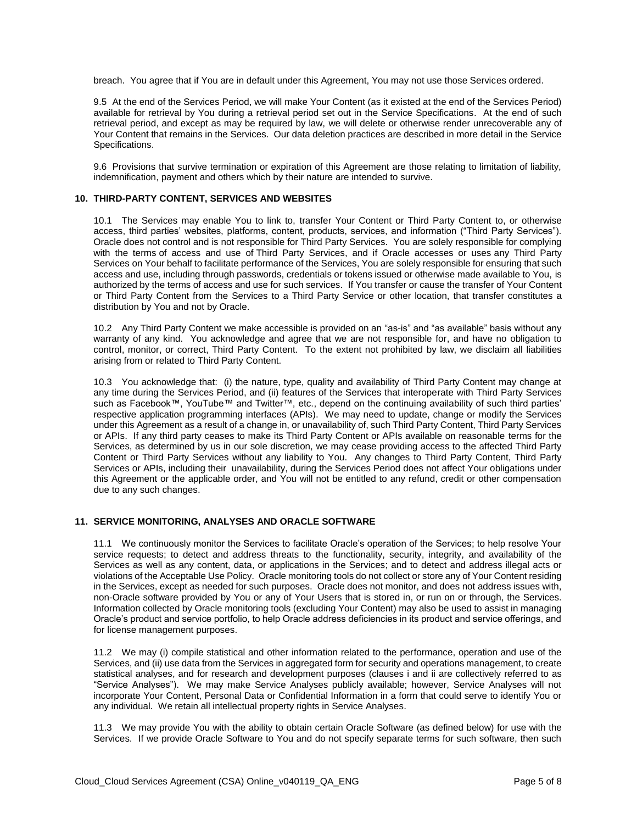breach. You agree that if You are in default under this Agreement, You may not use those Services ordered.

 9.5 At the end of the Services Period, we will make Your Content (as it existed at the end of the Services Period) available for retrieval by You during a retrieval period set out in the Service Specifications. At the end of such retrieval period, and except as may be required by law, we will delete or otherwise render unrecoverable any of Your Content that remains in the Services. Our data deletion practices are described in more detail in the Service Specifications.

Specifications.<br>9.6 Provisions that survive termination or expiration of this Agreement are those relating to limitation of liability, indemnification, payment and others which by their nature are intended to survive.

#### **10. THIRD-PARTY CONTENT, SERVICES AND WEBSITES**

 10.1 The Services may enable You to link to, transfer Your Content or Third Party Content to, or otherwise access, third parties' websites, platforms, content, products, services, and information ("Third Party Services"). Oracle does not control and is not responsible for Third Party Services. You are solely responsible for complying with the terms of access and use of Third Party Services, and if Oracle accesses or uses any Third Party Services on Your behalf to facilitate performance of the Services, You are solely responsible for ensuring that such access and use, including through passwords, credentials or tokens issued or otherwise made available to You, is authorized by the terms of access and use for such services. If You transfer or cause the transfer of Your Content or Third Party Content from the Services to a Third Party Service or other location, that transfer constitutes a distribution by You and not by Oracle.

 10.2 Any Third Party Content we make accessible is provided on an "as-is" and "as available" basis without any warranty of any kind. You acknowledge and agree that we are not responsible for, and have no obligation to control, monitor, or correct, Third Party Content. To the extent not prohibited by law, we disclaim all liabilities arising from or related to Third Party Content.

arising from or related to Third Party Content.<br>10.3 You acknowledge that: (i) the nature, type, quality and availability of Third Party Content may change at any time during the Services Period, and (ii) features of the Services that interoperate with Third Party Services such as Facebook™, YouTube™ and Twitter™, etc., depend on the continuing availability of such third parties' respective application programming interfaces (APIs). We may need to update, change or modify the Services under this Agreement as a result of a change in, or unavailability of, such Third Party Content, Third Party Services or APIs. If any third party ceases to make its Third Party Content or APIs available on reasonable terms for the Services, as determined by us in our sole discretion, we may cease providing access to the affected Third Party Content or Third Party Services without any liability to You. Any changes to Third Party Content, Third Party Services or APIs, including their unavailability, during the Services Period does not affect Your obligations under this Agreement or the applicable order, and You will not be entitled to any refund, credit or other compensation due to any such changes.

#### **11. SERVICE MONITORING, ANALYSES AND ORACLE SOFTWARE**

 11.1 We continuously monitor the Services to facilitate Oracle's operation of the Services; to help resolve Your service requests; to detect and address threats to the functionality, security, integrity, and availability of the Services as well as any content, data, or applications in the Services; and to detect and address illegal acts or violations of the Acceptable Use Policy. Oracle monitoring tools do not collect or store any of Your Content residing in the Services, except as needed for such purposes. Oracle does not monitor, and does not address issues with, non-Oracle software provided by You or any of Your Users that is stored in, or run on or through, the Services. Information collected by Oracle monitoring tools (excluding Your Content) may also be used to assist in managing Oracle's product and service portfolio, to help Oracle address deficiencies in its product and service offerings, and for license management purposes.

 11.2 We may (i) compile statistical and other information related to the performance, operation and use of the Services, and (ii) use data from the Services in aggregated form for security and operations management, to create statistical analyses, and for research and development purposes (clauses i and ii are collectively referred to as "Service Analyses"). We may make Service Analyses publicly available; however, Service Analyses will not incorporate Your Content, Personal Data or Confidential Information in a form that could serve to identify You or any individual. We retain all intellectual property rights in Service Analyses.

 11.3 We may provide You with the ability to obtain certain Oracle Software (as defined below) for use with the Services. If we provide Oracle Software to You and do not specify separate terms for such software, then such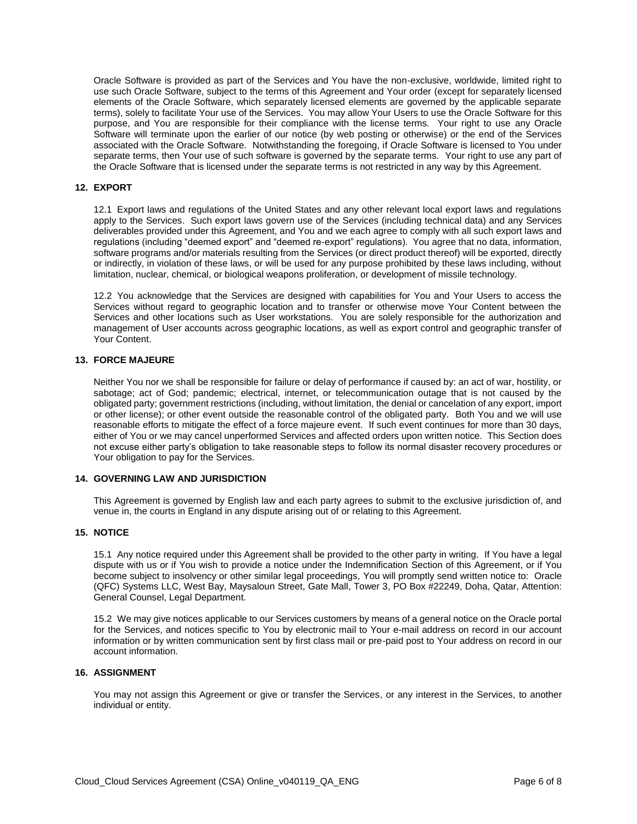Oracle Software is provided as part of the Services and You have the non-exclusive, worldwide, limited right to use such Oracle Software, subject to the terms of this Agreement and Your order (except for separately licensed elements of the Oracle Software, which separately licensed elements are governed by the applicable separate terms), solely to facilitate Your use of the Services. You may allow Your Users to use the Oracle Software for this purpose, and You are responsible for their compliance with the license terms. Your right to use any Oracle Software will terminate upon the earlier of our notice (by web posting or otherwise) or the end of the Services associated with the Oracle Software. Notwithstanding the foregoing, if Oracle Software is licensed to You under separate terms, then Your use of such software is governed by the separate terms. Your right to use any part of the Oracle Software that is licensed under the separate terms is not restricted in any way by this Agreement.

### **12. EXPORT**

 12.1 Export laws and regulations of the United States and any other relevant local export laws and regulations apply to the Services. Such export laws govern use of the Services (including technical data) and any Services deliverables provided under this Agreement, and You and we each agree to comply with all such export laws and regulations (including "deemed export" and "deemed re-export" regulations). You agree that no data, information, software programs and/or materials resulting from the Services (or direct product thereof) will be exported, directly or indirectly, in violation of these laws, or will be used for any purpose prohibited by these laws including, without limitation, nuclear, chemical, or biological weapons proliferation, or development of missile technology.

limitation, nuclear, chemical, or biological weapons proliferation, or development of missile technology.<br>12.2 You acknowledge that the Services are designed with capabilities for You and Your Users to access the Services without regard to geographic location and to transfer or otherwise move Your Content between the Services and other locations such as User workstations. You are solely responsible for the authorization and management of User accounts across geographic locations, as well as export control and geographic transfer of Your Content.

# **13. FORCE MAJEURE**

 Neither You nor we shall be responsible for failure or delay of performance if caused by: an act of war, hostility, or sabotage; act of God; pandemic; electrical, internet, or telecommunication outage that is not caused by the obligated party; government restrictions (including, without limitation, the denial or cancelation of any export, import or other license); or other event outside the reasonable control of the obligated party. Both You and we will use reasonable efforts to mitigate the effect of a force majeure event. If such event continues for more than 30 days, either of You or we may cancel unperformed Services and affected orders upon written notice. This Section does not excuse either party's obligation to take reasonable steps to follow its normal disaster recovery procedures or Your obligation to pay for the Services.

# **14. GOVERNING LAW AND JURISDICTION**

 This Agreement is governed by English law and each party agrees to submit to the exclusive jurisdiction of, and venue in, the courts in England in any dispute arising out of or relating to this Agreement.

#### **15. NOTICE**

 15.1 Any notice required under this Agreement shall be provided to the other party in writing. If You have a legal dispute with us or if You wish to provide a notice under the Indemnification Section of this Agreement, or if You become subject to insolvency or other similar legal proceedings, You will promptly send written notice to: Oracle (QFC) Systems LLC, West Bay, Maysaloun Street, Gate Mall, Tower 3, PO Box #22249, Doha, Qatar, Attention: General Counsel, Legal Department.

 15.2 We may give notices applicable to our Services customers by means of a general notice on the Oracle portal for the Services, and notices specific to You by electronic mail to Your e-mail address on record in our account information or by written communication sent by first class mail or pre-paid post to Your address on record in our account information.

#### **16. ASSIGNMENT**

 You may not assign this Agreement or give or transfer the Services, or any interest in the Services, to another individual or entity.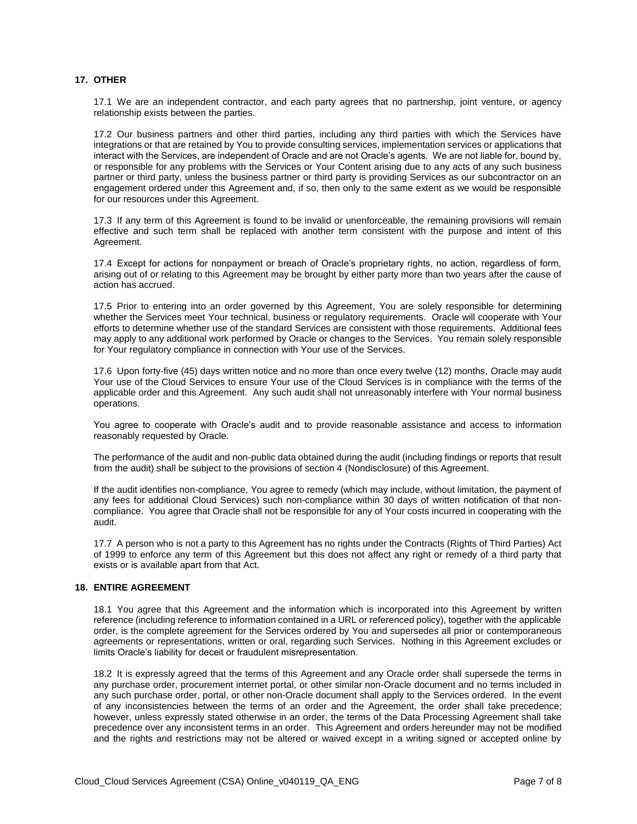# **17. OTHER**

 17.1 We are an independent contractor, and each party agrees that no partnership, joint venture, or agency relationship exists between the parties.

 17.2 Our business partners and other third parties, including any third parties with which the Services have integrations or that are retained by You to provide consulting services, implementation services or applications that interact with the Services, are independent of Oracle and are not Oracle's agents. We are not liable for, bound by, or responsible for any problems with the Services or Your Content arising due to any acts of any such business partner or third party, unless the business partner or third party is providing Services as our subcontractor on an engagement ordered under this Agreement and, if so, then only to the same extent as we would be responsible for our resources under this Agreement.

 17.3 If any term of this Agreement is found to be invalid or unenforceable, the remaining provisions will remain effective and such term shall be replaced with another term consistent with the purpose and intent of this Agreement.

 17.4 Except for actions for nonpayment or breach of Oracle's proprietary rights, no action, regardless of form, arising out of or relating to this Agreement may be brought by either party more than two years after the cause of action has accrued.

 17.5 Prior to entering into an order governed by this Agreement, You are solely responsible for determining whether the Services meet Your technical, business or regulatory requirements. Oracle will cooperate with Your efforts to determine whether use of the standard Services are consistent with those requirements. Additional fees may apply to any additional work performed by Oracle or changes to the Services. You remain solely responsible for Your regulatory compliance in connection with Your use of the Services.

for Your regulatory compliance in connection with Your use of the Services.<br>17.6 Upon forty-five (45) days written notice and no more than once every twelve (12) months, Oracle may audit Your use of the Cloud Services to ensure Your use of the Cloud Services is in compliance with the terms of the applicable order and this Agreement. Any such audit shall not unreasonably interfere with Your normal business operations.

 You agree to cooperate with Oracle's audit and to provide reasonable assistance and access to information reasonably requested by Oracle.

 The performance of the audit and non-public data obtained during the audit (including findings or reports that result from the audit) shall be subject to the provisions of section 4 (Nondisclosure) of this Agreement.

 If the audit identifies non-compliance, You agree to remedy (which may include, without limitation, the payment of any fees for additional Cloud Services) such non-compliance within 30 days of written notification of that non- compliance. You agree that Oracle shall not be responsible for any of Your costs incurred in cooperating with the audit.

 17.7 A person who is not a party to this Agreement has no rights under the Contracts (Rights of Third Parties) Act of 1999 to enforce any term of this Agreement but this does not affect any right or remedy of a third party that exists or is available apart from that Act.

#### **18. ENTIRE AGREEMENT**

 18.1 You agree that this Agreement and the information which is incorporated into this Agreement by written reference (including reference to information contained in a URL or referenced policy), together with the applicable order, is the complete agreement for the Services ordered by You and supersedes all prior or contemporaneous agreements or representations, written or oral, regarding such Services. Nothing in this Agreement excludes or limits Oracle's liability for deceit or fraudulent misrepresentation.

 18.2 It is expressly agreed that the terms of this Agreement and any Oracle order shall supersede the terms in any purchase order, procurement internet portal, or other similar non-Oracle document and no terms included in any such purchase order, portal, or other non-Oracle document shall apply to the Services ordered. In the event of any inconsistencies between the terms of an order and the Agreement, the order shall take precedence; however, unless expressly stated otherwise in an order, the terms of the Data Processing Agreement shall take precedence over any inconsistent terms in an order. This Agreement and orders hereunder may not be modified and the rights and restrictions may not be altered or waived except in a writing signed or accepted online by